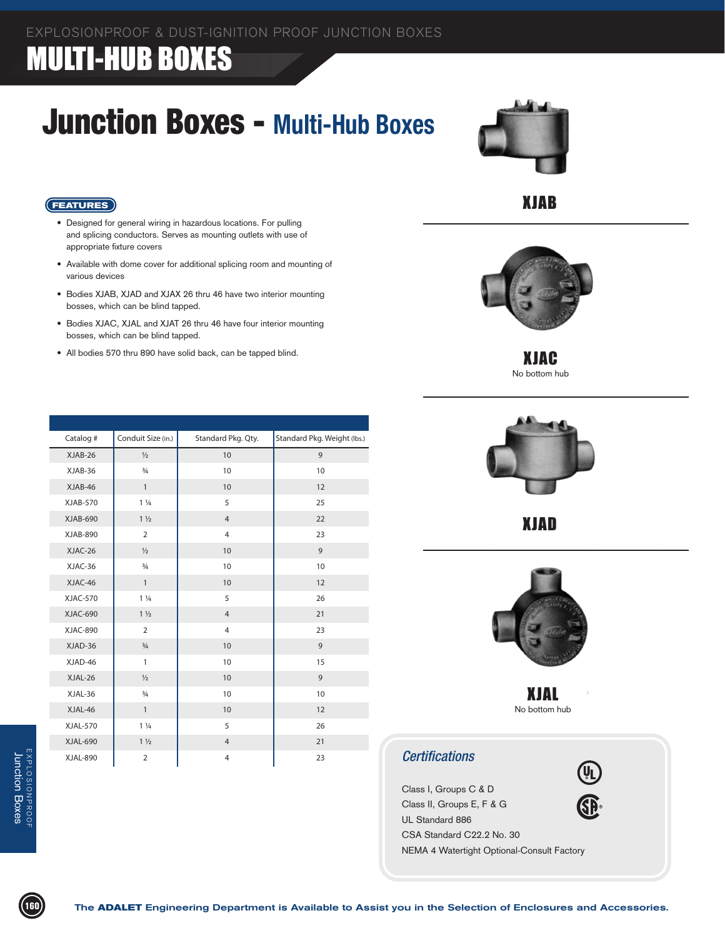#### EXPLOSIONPROOF & DUST-IGNITION PROOF JUNCTION BOXES

### **MULTI-HUB BOXES**

## Junction Boxes - **Multi-Hub Boxes**



### XJAB



XJAC No bottom hub



XJAD



XJAL No bottom hub

#### *Certifications*

Class I, Groups C & D Class II, Groups E, F & G UL Standard 886 CSA Standard C22.2 No. 30 NEMA 4 Watertight Optional-Consult Factory

#### **FEATURES**

- Designed for general wiring in hazardous locations. For pulling and splicing conductors. Serves as mounting outlets with use of appropriate fixture covers
- • Available with dome cover for additional splicing room and mounting of various devices
- • Bodies XJAB, XJAD and XJAX 26 thru 46 have two interior mounting bosses, which can be blind tapped.
- Bodies XJAC, XJAL and XJAT 26 thru 46 have four interior mounting bosses, which can be blind tapped.
- All bodies 570 thru 890 have solid back, can be tapped blind.

| Catalog #       | Conduit Size (in.) | Standard Pkg. Qty. | Standard Pkg. Weight (Ibs.) |
|-----------------|--------------------|--------------------|-----------------------------|
| XJAB-26         | $\frac{1}{2}$      | 10                 | 9                           |
| XJAB-36         | $\frac{3}{4}$      | 10                 | 10                          |
| XJAB-46         | $\mathbf{1}$       | 10                 | 12                          |
| <b>XJAB-570</b> | $1\frac{1}{4}$     | 5                  | 25                          |
| XJAB-690        | $1\frac{1}{2}$     | $\overline{4}$     | 22                          |
| XJAB-890        | $\overline{2}$     | $\overline{4}$     | 23                          |
| XJAC-26         | $\frac{1}{2}$      | 10                 | 9                           |
| XJAC-36         | $\frac{3}{4}$      | 10                 | 10                          |
| XJAC-46         | $\mathbf{1}$       | 10                 | 12                          |
| XJAC-570        | $1\frac{1}{4}$     | 5                  | 26                          |
| <b>XJAC-690</b> | $1\frac{1}{2}$     | $\overline{4}$     | 21                          |
| <b>XJAC-890</b> | $\overline{2}$     | $\overline{4}$     | 23                          |
| XJAD-36         | $\frac{3}{4}$      | 10                 | 9                           |
| XJAD-46         | $\mathbf{1}$       | 10                 | 15                          |
| XJAL-26         | $\frac{1}{2}$      | 10                 | 9                           |
| XJAL-36         | $\frac{3}{4}$      | 10                 | 10                          |
| XJAL-46         | $\mathbf{1}$       | 10                 | 12                          |
| <b>XJAL-570</b> | $1\frac{1}{4}$     | 5                  | 26                          |
| XJAL-690        | $1\frac{1}{2}$     | $\overline{4}$     | 21                          |
| <b>XJAL-890</b> | $\overline{2}$     | $\overline{4}$     | 23                          |

EXPLOSIONPROOF Junction Boxes